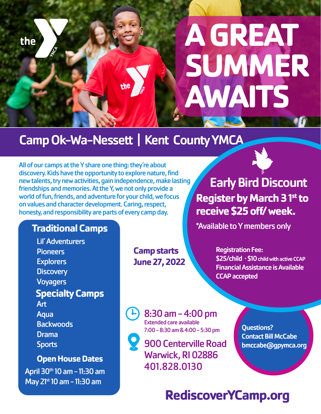# **A GREAT** the **SUMMER AWAITS**

## Camp Ok-Wa-Nessett | Kent County YMCA

All of our camps at the Y share one thing: they're about discovery. Kids have the opportunity to explore nature, find new talents, try new activities, gain independence, make lasting friendships and memories. At the Y, we not only provide a world of fun, friends, and adventure for your child, we focus on values and character development. Caring, respect, honesty, and responsibility are parts of every camp day.

## **Traditional Camps**

Lil' Adventurers **Pioneers Explorers Discovery Voyagers Specialty Camps** Art Aqua **Backwoods** Drama **Sports Open House Dates**

April 30th 10 am - 11:30 am May 21st 10 am - 11:30 am

**Camp starts June 27, 2022**

**Register by March 3 1st to receive \$25 off/ week.** Early Bird Discount

\*Available to Y members only

Registration Fee: \$25/child ∙ \$10 child with active CCAP Financial Assistance is Available CCAP accepted

8:30 am - 4:00 pm Extended care available 7:00 - 8:30 am & 4:00 - 5:30 pm

**900 Centerville Road** Warwick, RI 02886 401.828.0130

Questions? Contact Bill McCabe bmccabe@gpymca.org

# **RediscoverYCamp.org**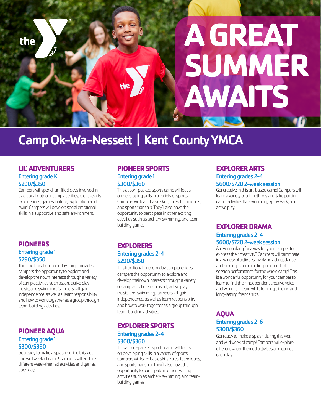

## Camp Ok-Wa-Nessett | Kent County YMCA

#### **LIL' ADVENTURERS**  Entering grade K \$290/\$350

Campers will spend fun-filled days involved in traditional outdoor camp activities, creative arts experiences, games, nature, exploration and swim! Campers will develop social emotional skills in a supportive and safe environment.

#### **PIONEERS**  Entering grade 1 \$290/\$350

This traditional outdoor day camp provides campers the opportunity to explore and develop their own interests through a variety of camp activities such as: art, active play, music, and swimming. Campers will gain independence, as well as, learn responsibility, and how to work together as a group through team-building activities.

#### **PIONEER AQUA** Entering grade 1 \$300/\$360

Get ready to make a splash during this wet and wild week of camp! Campers will explore different water-themed activities and games each day.

#### **PIONEER SPORTS** Entering grade 1 \$300/\$360

This action-packed sports camp will focus on developing skills in a variety of sports. Campers will learn basic skills, rules, techniques, and sportsmanship. They'll also have the opportunity to participate in other exciting activities such as archery, swimming, and teambuilding games.

#### **EXPLORERS** Entering grades 2-4 \$290/\$350

This traditional outdoor day camp provides campers the opportunity to explore and develop their own interests through a variety of camp activities such as art, active play, music, and swimming. Campers will gain independence, as well as learn responsibility and how to work together as a group through team-building activities.

#### **EXPLORER SPORTS** Entering grades 2-4 \$300/\$360

This action-packed sports camp will focus on developing skills in a variety of sports. Campers will learn basic skills, rules, techniques, and sportsmanship. They'll also have the opportunity to participate in other exciting activities such as archery, swimming, and teambuilding games

### **EXPLORER ARTS** Entering grades 2-4

\$600/\$720 2-week session

Get creative in this art-based camp! Campers will learn a variety of art methods and take part in camp activities like swimming, Spray Park, and active play.

#### **EXPLORER DRAMA** Entering grades 2-4

#### \$600/\$720 2-week session

Are you looking for a way for your camper to express their creativity? Campers will participate in a variety of activities involving acting, dance, and singing, all culminating in an end-ofsession performance for the whole camp! This is a wonderful opportunity for your camper to learn to find their independent creative voice and work as a team while forming binding and long-lasting friendships.

#### **AQUA** Entering grades 2-6 \$300/\$360

Get ready to make a splash during this wet and wild week of camp! Campers will explore different water-themed activities and games each day.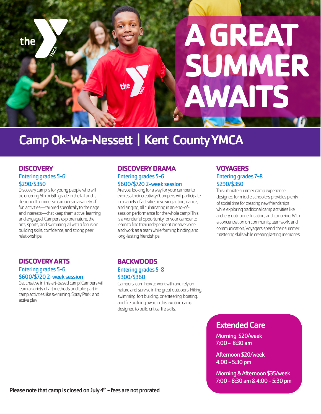

## Camp Ok-Wa-Nessett | Kent County YMCA

#### **DISCOVERY** Entering grades 5-6 \$290/\$350

Discovery camp is for young people who will be entering 5th or 6th grade in the fall and is designed to immerse campers in a variety of fun activities—tailored specifically to their age and interests—that keep them active, learning, and engaged. Campers explore nature, the arts, sports, and swimming, all with a focus on building skills, confidence, and strong peer relationships.

#### **DISCOVERY DRAMA** Entering grades 5-6 \$600/\$720 2-week session

Are you looking for a way for your camper to express their creativity? Campers will participate in a variety of activities involving acting, dance, and singing, all culminating in an end-ofsession performance for the whole camp! This is a wonderful opportunity for your camper to learn to find their independent creative voice and work as a team while forming binding and long-lasting friendships.

#### **VOYAGERS** Entering grades 7-8 \$290/\$350

This ultimate summer camp experience designed for middle schoolers provides plenty of social time for creating new friendships while exploring traditional camp activities like archery, outdoor education, and canoeing. With a concentration on community, teamwork, and communication, Voyagers spend their summer mastering skills while creating lasting memories.

#### **DISCOVERY ARTS** Entering grades 5-6 \$600/\$720 2-week session

Get creative in this art-based camp! Campers will learn a variety of art methods and take part in camp activities like swimming, Spray Park, and active play.

#### **BACKWOODS** Entering grades 5-8 \$300/\$360

Campers learn how to work with and rely on nature and survive in the great outdoors. Hiking, swimming, fort building, orienteering, boating, and fire building await in this exciting camp designed to build critical life skills.

### Extended Care

Morning \$20/week 7:00 - 8:30 am

Afternoon \$20/week 4:00 - 5:30 pm

Morning & Afternoon \$35/week 7:00 - 8:30 am & 4:00 - 5:30 pm